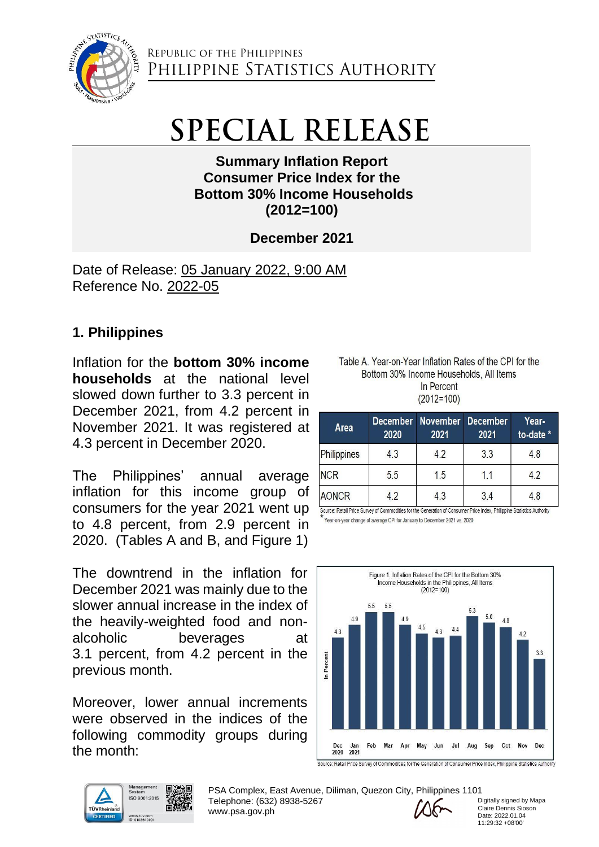

## **SPECIAL RELEASE**

**Summary Inflation Report Consumer Price Index for the Bottom 30% Income Households (2012=100)**

**December 2021**

Date of Release: 05 January 2022, 9:00 AM Reference No. 2022-05

## **1. Philippines**

Inflation for the **bottom 30% income households** at the national level slowed down further to 3.3 percent in December 2021, from 4.2 percent in November 2021. It was registered at 4.3 percent in December 2020.

The Philippines' annual average inflation for this income group of consumers for the year 2021 went up to 4.8 percent, from 2.9 percent in 2020. (Tables A and B, and Figure 1)

The downtrend in the inflation for December 2021 was mainly due to the slower annual increase in the index of the heavily-weighted food and nonalcoholic beverages at 3.1 percent, from 4.2 percent in the previous month.

Moreover, lower annual increments were observed in the indices of the following commodity groups during the month:



PSA Complex, East Avenue, Diliman, Quezon City, Philippines 1101 Telephone: (632) 8938-5267 www.psa.gov.ph

Digitally signed by Mapa Claire Dennis Sioson Date: 2022.01.04 11:29:32 +08'00'

| Table A. Year-on-Year Inflation Rates of the CPI for the |
|----------------------------------------------------------|
| Bottom 30% Income Households, All Items                  |
| In Percent                                               |
| $(2012=100)$                                             |

| Area               | <b>December</b><br>2020                                                                                                | <b>November</b><br>2021 | <b>December</b><br>2021 | Year-<br>to-date * |
|--------------------|------------------------------------------------------------------------------------------------------------------------|-------------------------|-------------------------|--------------------|
| Philippines        | 4.3                                                                                                                    | 42                      | 3.3                     | 4.8                |
| <b>NCR</b>         | 5.5                                                                                                                    | 1.5                     | 1.1                     | 4.2                |
| <b>AONCR</b><br>42 |                                                                                                                        | 4.3                     | 34                      |                    |
|                    | Source: Retail Price Survey of Commodities for the Generation of Consumer Price Index, Philippine Statistics Authority |                         |                         |                    |

Year-on-year change of average CPI for January to December 2021 vs. 2020

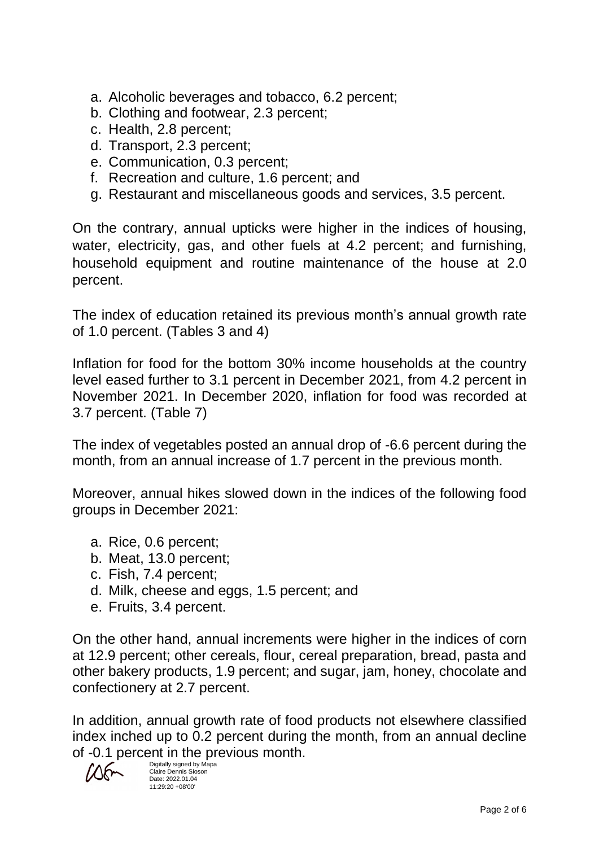- a. Alcoholic beverages and tobacco, 6.2 percent;
- b. Clothing and footwear, 2.3 percent;
- c. Health, 2.8 percent;
- d. Transport, 2.3 percent;
- e. Communication, 0.3 percent;
- f. Recreation and culture, 1.6 percent; and
- g. Restaurant and miscellaneous goods and services, 3.5 percent.

On the contrary, annual upticks were higher in the indices of housing, water, electricity, gas, and other fuels at 4.2 percent; and furnishing, household equipment and routine maintenance of the house at 2.0 percent.

The index of education retained its previous month's annual growth rate of 1.0 percent. (Tables 3 and 4)

Inflation for food for the bottom 30% income households at the country level eased further to 3.1 percent in December 2021, from 4.2 percent in November 2021. In December 2020, inflation for food was recorded at 3.7 percent. (Table 7)

The index of vegetables posted an annual drop of -6.6 percent during the month, from an annual increase of 1.7 percent in the previous month.

Moreover, annual hikes slowed down in the indices of the following food groups in December 2021:

- a. Rice, 0.6 percent;
- b. Meat, 13.0 percent;
- c. Fish, 7.4 percent;
- d. Milk, cheese and eggs, 1.5 percent; and
- e. Fruits, 3.4 percent.

On the other hand, annual increments were higher in the indices of corn at 12.9 percent; other cereals, flour, cereal preparation, bread, pasta and other bakery products, 1.9 percent; and sugar, jam, honey, chocolate and confectionery at 2.7 percent.

In addition, annual growth rate of food products not elsewhere classified index inched up to 0.2 percent during the month, from an annual decline of -0.1 percent in the previous month.

Digitally signed by Mapa Claire Dennis Sioson Date: 2022.01.04 11:29:20 +08'00'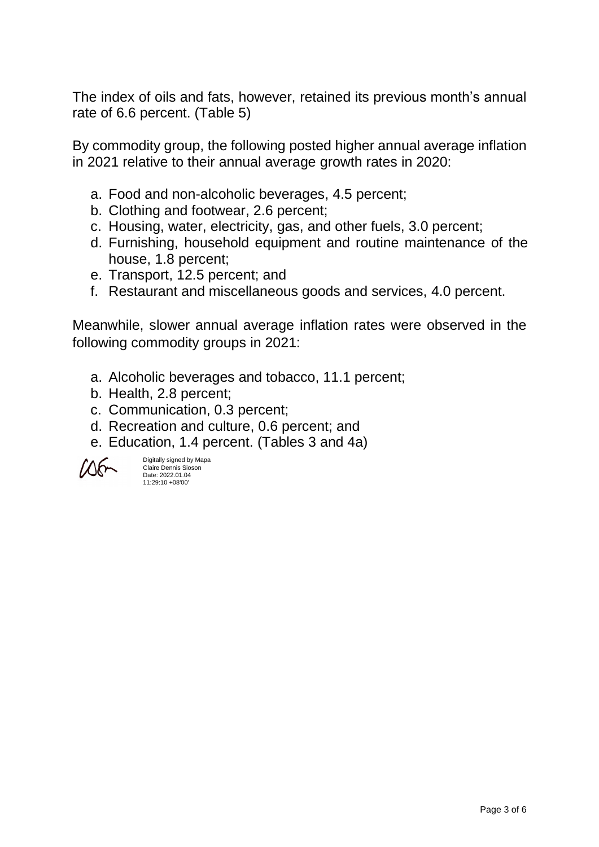The index of oils and fats, however, retained its previous month's annual rate of 6.6 percent. (Table 5)

By commodity group, the following posted higher annual average inflation in 2021 relative to their annual average growth rates in 2020:

- a. Food and non-alcoholic beverages, 4.5 percent;
- b. Clothing and footwear, 2.6 percent;
- c. Housing, water, electricity, gas, and other fuels, 3.0 percent;
- d. Furnishing, household equipment and routine maintenance of the house, 1.8 percent;
- e. Transport, 12.5 percent; and
- f. Restaurant and miscellaneous goods and services, 4.0 percent.

Meanwhile, slower annual average inflation rates were observed in the following commodity groups in 2021:

- a. Alcoholic beverages and tobacco, 11.1 percent;
- b. Health, 2.8 percent;
- c. Communication, 0.3 percent;
- d. Recreation and culture, 0.6 percent; and
- e. Education, 1.4 percent. (Tables 3 and 4a)



Digitally signed by Mapa Claire Dennis Sioson Date: 2022.01.04 11:29:10 +08'00'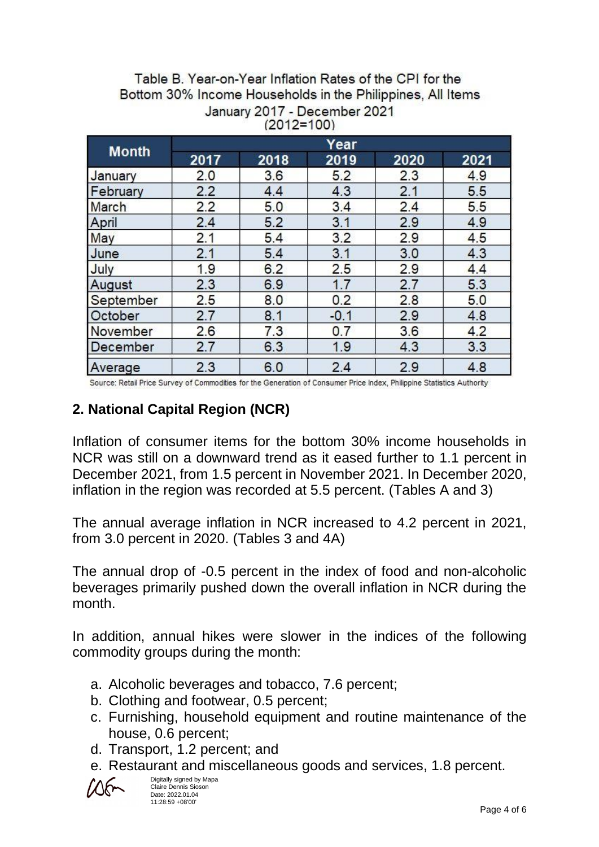| Table B. Year-on-Year Inflation Rates of the CPI for the   |  |  |  |  |  |  |
|------------------------------------------------------------|--|--|--|--|--|--|
| Bottom 30% Income Households in the Philippines, All Items |  |  |  |  |  |  |
| January 2017 - December 2021                               |  |  |  |  |  |  |
| $(2012=100)$                                               |  |  |  |  |  |  |

| <b>Month</b> | Year |      |        |      |      |  |
|--------------|------|------|--------|------|------|--|
|              | 2017 | 2018 | 2019   | 2020 | 2021 |  |
| January      | 2.0  | 3.6  | 5.2    | 2.3  | 4.9  |  |
| February     | 2.2  | 4.4  | 4.3    | 2.1  | 5.5  |  |
| March        | 2.2  | 5.0  | 3.4    | 2.4  | 5.5  |  |
| April        | 2.4  | 5.2  | 3.1    | 2.9  | 4.9  |  |
| May          | 2.1  | 5.4  | 3.2    | 2.9  | 4.5  |  |
| June         | 2.1  | 5.4  | 3.1    | 3.0  | 4.3  |  |
| July         | 1.9  | 6.2  | 2.5    | 2.9  | 4.4  |  |
| August       | 2.3  | 6.9  | 1.7    | 2.7  | 5.3  |  |
| September    | 2.5  | 8.0  | 0.2    | 2.8  | 5.0  |  |
| October      | 2.7  | 8.1  | $-0.1$ | 2.9  | 4.8  |  |
| November     | 2.6  | 7.3  | 0.7    | 3.6  | 4.2  |  |
| December     | 2.7  | 6.3  | 1.9    | 4.3  | 3.3  |  |
| Average      | 2.3  | 6.0  | 2.4    | 2.9  | 4.8  |  |

Source: Retail Price Survey of Commodities for the Generation of Consumer Price Index, Philippine Statistics Authority

## **2. National Capital Region (NCR)**

Inflation of consumer items for the bottom 30% income households in NCR was still on a downward trend as it eased further to 1.1 percent in December 2021, from 1.5 percent in November 2021. In December 2020, inflation in the region was recorded at 5.5 percent. (Tables A and 3)

The annual average inflation in NCR increased to 4.2 percent in 2021, from 3.0 percent in 2020. (Tables 3 and 4A)

The annual drop of -0.5 percent in the index of food and non-alcoholic beverages primarily pushed down the overall inflation in NCR during the month.

In addition, annual hikes were slower in the indices of the following commodity groups during the month:

- a. Alcoholic beverages and tobacco, 7.6 percent;
- b. Clothing and footwear, 0.5 percent;
- c. Furnishing, household equipment and routine maintenance of the house, 0.6 percent;
- d. Transport, 1.2 percent; and
- e. Restaurant and miscellaneous goods and services, 1.8 percent.

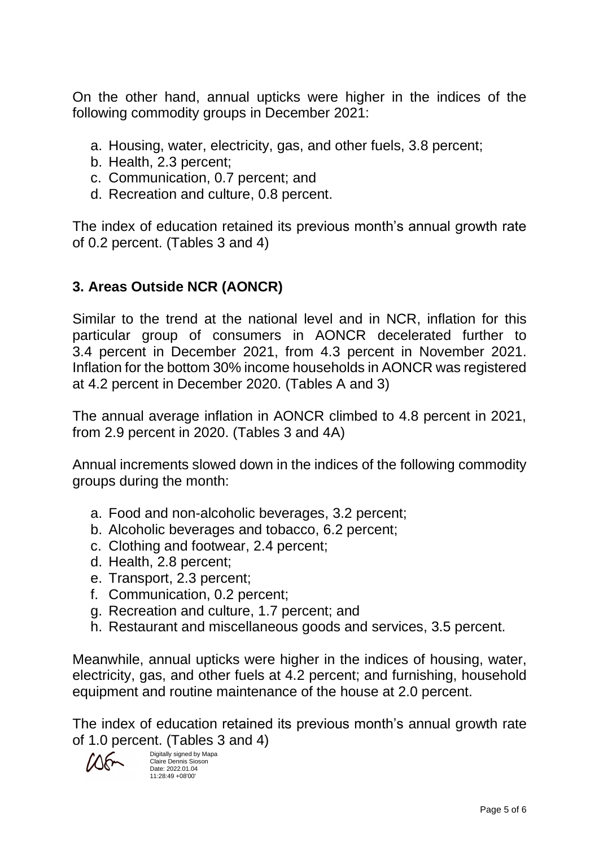On the other hand, annual upticks were higher in the indices of the following commodity groups in December 2021:

- a. Housing, water, electricity, gas, and other fuels, 3.8 percent;
- b. Health, 2.3 percent;
- c. Communication, 0.7 percent; and
- d. Recreation and culture, 0.8 percent.

The index of education retained its previous month's annual growth rate of 0.2 percent. (Tables 3 and 4)

## **3. Areas Outside NCR (AONCR)**

Similar to the trend at the national level and in NCR, inflation for this particular group of consumers in AONCR decelerated further to 3.4 percent in December 2021, from 4.3 percent in November 2021. Inflation for the bottom 30% income households in AONCR was registered at 4.2 percent in December 2020. (Tables A and 3)

The annual average inflation in AONCR climbed to 4.8 percent in 2021, from 2.9 percent in 2020. (Tables 3 and 4A)

Annual increments slowed down in the indices of the following commodity groups during the month:

- a. Food and non-alcoholic beverages, 3.2 percent;
- b. Alcoholic beverages and tobacco, 6.2 percent;
- c. Clothing and footwear, 2.4 percent;
- d. Health, 2.8 percent;
- e. Transport, 2.3 percent;
- f. Communication, 0.2 percent;
- g. Recreation and culture, 1.7 percent; and
- h. Restaurant and miscellaneous goods and services, 3.5 percent.

Meanwhile, annual upticks were higher in the indices of housing, water, electricity, gas, and other fuels at 4.2 percent; and furnishing, household equipment and routine maintenance of the house at 2.0 percent.

The index of education retained its previous month's annual growth rate of 1.0 percent. (Tables 3 and 4)

Digitally signed by Mapa Claire Dennis Sioson Date: 2022.01.04 11:28:49 +08'00'